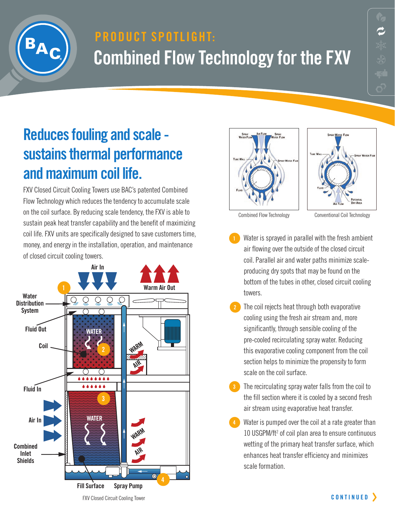

# **product Spotlight: Combined Flow Technology for the FXV**

## **Reduces fouling and scale sustains thermal performance and maximum coil life.**

FXV Closed Circuit Cooling Towers use BAC's patented Combined Flow Technology which reduces the tendency to accumulate scale on the coil surface. By reducing scale tendency, the FXV is able to sustain peak heat transfer capability and the benefit of maximizing coil life. FXV units are specifically designed to save customers time, money, and energy in the installation, operation, and maintenance of closed circuit cooling towers.







Combined Flow Technology Conventional Coil Technology

- Water is sprayed in parallel with the fresh ambient air flowing over the outside of the closed circuit coil. Parallel air and water paths minimize scaleproducing dry spots that may be found on the bottom of the tubes in other, closed circuit cooling towers.
- The coil rejects heat through both evaporative cooling using the fresh air stream and, more significantly, through sensible cooling of the pre-cooled recirculating spray water. Reducing this evaporative cooling component from the coil section helps to minimize the propensity to form scale on the coil surface. **2**
- The recirculating spray water falls from the coil to the fill section where it is cooled by a second fresh air stream using evaporative heat transfer.
- Water is pumped over the coil at a rate greater than 10 USGPM/ft<sup>2</sup> of coil plan area to ensure continuous wetting of the primary heat transfer surface, which enhances heat transfer efficiency and minimizes scale formation. **4**

FXV Closed Circuit Cooling Tower